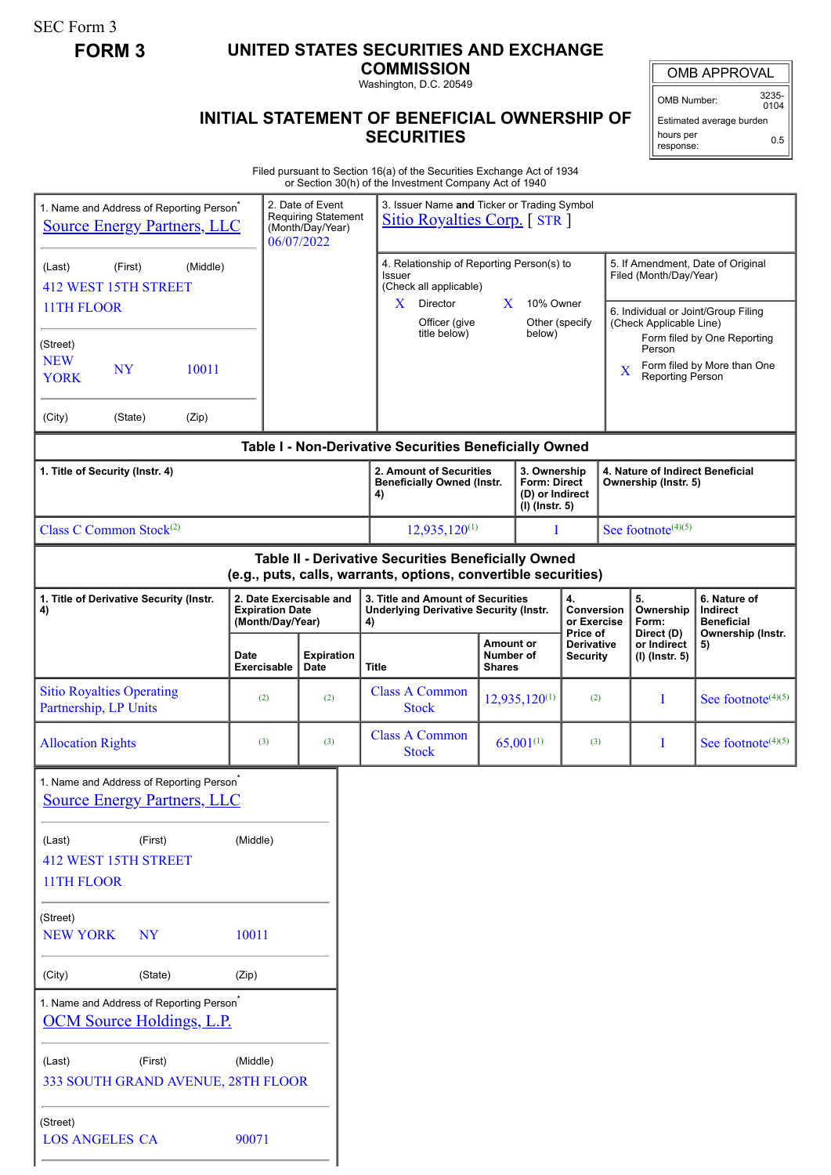SEC Form 3

# **FORM 3 UNITED STATES SECURITIES AND EXCHANGE**

**COMMISSION** Washington, D.C. 20549

OMB APPROVAL

OMB Number: 3235-  $0104$ 

Estimated average burden hours per response: 0.5

# **INITIAL STATEMENT OF BENEFICIAL OWNERSHIP OF SECURITIES**

Filed pursuant to Section 16(a) of the Securities Exchange Act of 1934 or Section 30(h) of the Investment Company Act of 1940

|                                                                                                                       |         |                                                                                            |                                                                       |                                                                           | or Section 30(11) or the investment Company Act or 1940                                                                                  |                                                                                                                      |                                                          |                                                    |                                |                                                                                                                                                                                                                                       |                                                                    |
|-----------------------------------------------------------------------------------------------------------------------|---------|--------------------------------------------------------------------------------------------|-----------------------------------------------------------------------|---------------------------------------------------------------------------|------------------------------------------------------------------------------------------------------------------------------------------|----------------------------------------------------------------------------------------------------------------------|----------------------------------------------------------|----------------------------------------------------|--------------------------------|---------------------------------------------------------------------------------------------------------------------------------------------------------------------------------------------------------------------------------------|--------------------------------------------------------------------|
| 1. Name and Address of Reporting Person <sup>®</sup><br><b>Source Energy Partners, LLC</b>                            |         |                                                                                            |                                                                       | 2. Date of Event<br>Requiring Statement<br>(Month/Day/Year)<br>06/07/2022 |                                                                                                                                          | 3. Issuer Name and Ticker or Trading Symbol<br><b>Sitio Royalties Corp.</b> [STR ]                                   |                                                          |                                                    |                                |                                                                                                                                                                                                                                       |                                                                    |
| (First)<br>(Middle)<br>(Last)<br><b>412 WEST 15TH STREET</b><br>11TH FLOOR                                            |         |                                                                                            |                                                                       |                                                                           | Issuer<br>Director<br>X.                                                                                                                 | 4. Relationship of Reporting Person(s) to<br>(Check all applicable)<br>$\mathbf{X}$<br>Officer (give<br>title below) |                                                          | 10% Owner<br>Other (specify<br>below)              |                                | 5. If Amendment, Date of Original<br>Filed (Month/Day/Year)<br>6. Individual or Joint/Group Filing<br>(Check Applicable Line)<br>Form filed by One Reporting<br>Person<br>Form filed by More than One<br>X<br><b>Reporting Person</b> |                                                                    |
| (Street)<br><b>NEW</b><br><b>NY</b><br>10011<br><b>YORK</b>                                                           |         |                                                                                            |                                                                       |                                                                           |                                                                                                                                          |                                                                                                                      |                                                          |                                                    |                                |                                                                                                                                                                                                                                       |                                                                    |
| (City)                                                                                                                | (State) | (Zip)                                                                                      |                                                                       |                                                                           |                                                                                                                                          |                                                                                                                      |                                                          |                                                    |                                |                                                                                                                                                                                                                                       |                                                                    |
|                                                                                                                       |         |                                                                                            |                                                                       |                                                                           | Table I - Non-Derivative Securities Beneficially Owned                                                                                   |                                                                                                                      |                                                          |                                                    |                                |                                                                                                                                                                                                                                       |                                                                    |
| 1. Title of Security (Instr. 4)                                                                                       |         |                                                                                            |                                                                       | 4)                                                                        | 2. Amount of Securities<br>3. Ownership<br><b>Form: Direct</b><br><b>Beneficially Owned (Instr.</b><br>(D) or Indirect<br>(I) (Instr. 5) |                                                                                                                      | 4. Nature of Indirect Beneficial<br>Ownership (Instr. 5) |                                                    |                                |                                                                                                                                                                                                                                       |                                                                    |
| Class C Common Stock <sup>(2)</sup>                                                                                   |         |                                                                                            |                                                                       |                                                                           | $12,935,120^{(1)}$                                                                                                                       | I                                                                                                                    |                                                          |                                                    | See footnote <sup>(4)(5)</sup> |                                                                                                                                                                                                                                       |                                                                    |
| Table II - Derivative Securities Beneficially Owned<br>(e.g., puts, calls, warrants, options, convertible securities) |         |                                                                                            |                                                                       |                                                                           |                                                                                                                                          |                                                                                                                      |                                                          |                                                    |                                |                                                                                                                                                                                                                                       |                                                                    |
| 1. Title of Derivative Security (Instr.<br>4)                                                                         |         |                                                                                            | 2. Date Exercisable and<br><b>Expiration Date</b><br>(Month/Day/Year) |                                                                           | 4)                                                                                                                                       | 3. Title and Amount of Securities<br><b>Underlying Derivative Security (Instr.</b>                                   |                                                          | 4.<br><b>Conversion</b><br>or Exercise<br>Price of |                                | 5.<br>Ownership<br>Form:<br>Direct (D)                                                                                                                                                                                                | 6. Nature of<br>Indirect<br><b>Beneficial</b><br>Ownership (Instr. |
|                                                                                                                       |         |                                                                                            | <b>Date</b><br><b>Exercisable</b>                                     | <b>Expiration</b><br><b>Date</b>                                          | <b>Title</b>                                                                                                                             | <b>Amount or</b><br>Number of<br><b>Shares</b>                                                                       |                                                          | <b>Derivative</b><br><b>Security</b>               |                                | or Indirect<br>(I) (Instr. 5)                                                                                                                                                                                                         | 5)                                                                 |
| <b>Sitio Royalties Operating</b><br>Partnership, LP Units                                                             |         | (2)                                                                                        | (2)                                                                   | <b>Class A Common</b><br><b>Stock</b>                                     |                                                                                                                                          | $12,935,120^{(1)}$                                                                                                   | (2)                                                      |                                                    | I                              | See footnote $(4)(5)$                                                                                                                                                                                                                 |                                                                    |
| <b>Allocation Rights</b>                                                                                              |         | (3)                                                                                        | (3)                                                                   | <b>Class A Common</b><br><b>Stock</b>                                     |                                                                                                                                          | $65,001^{(1)}$                                                                                                       | (3)                                                      |                                                    | I                              | See footnote $(4)(5)$                                                                                                                                                                                                                 |                                                                    |
|                                                                                                                       |         | 1. Name and Address of Reporting Person <sup>®</sup><br><b>Source Energy Partners, LLC</b> |                                                                       |                                                                           |                                                                                                                                          |                                                                                                                      |                                                          |                                                    |                                |                                                                                                                                                                                                                                       |                                                                    |
| (First)<br>(Last)<br><b>412 WEST 15TH STREET</b><br>11TH FLOOR                                                        |         |                                                                                            | (Middle)                                                              |                                                                           |                                                                                                                                          |                                                                                                                      |                                                          |                                                    |                                |                                                                                                                                                                                                                                       |                                                                    |
| (Street)<br><b>NEW YORK</b><br><b>NY</b>                                                                              |         |                                                                                            | 10011                                                                 |                                                                           |                                                                                                                                          |                                                                                                                      |                                                          |                                                    |                                |                                                                                                                                                                                                                                       |                                                                    |
| (State)<br>(Zip)<br>(City)                                                                                            |         |                                                                                            |                                                                       |                                                                           |                                                                                                                                          |                                                                                                                      |                                                          |                                                    |                                |                                                                                                                                                                                                                                       |                                                                    |
|                                                                                                                       |         | 1. Name and Address of Reporting Person <sup>*</sup><br><b>OCM Source Holdings, L.P.</b>   |                                                                       |                                                                           |                                                                                                                                          |                                                                                                                      |                                                          |                                                    |                                |                                                                                                                                                                                                                                       |                                                                    |
| (Middle)<br>(First)<br>(Last)<br>333 SOUTH GRAND AVENUE, 28TH FLOOR                                                   |         |                                                                                            |                                                                       |                                                                           |                                                                                                                                          |                                                                                                                      |                                                          |                                                    |                                |                                                                                                                                                                                                                                       |                                                                    |
| (Street)<br><b>LOS ANGELES CA</b>                                                                                     |         |                                                                                            | 90071                                                                 |                                                                           |                                                                                                                                          |                                                                                                                      |                                                          |                                                    |                                |                                                                                                                                                                                                                                       |                                                                    |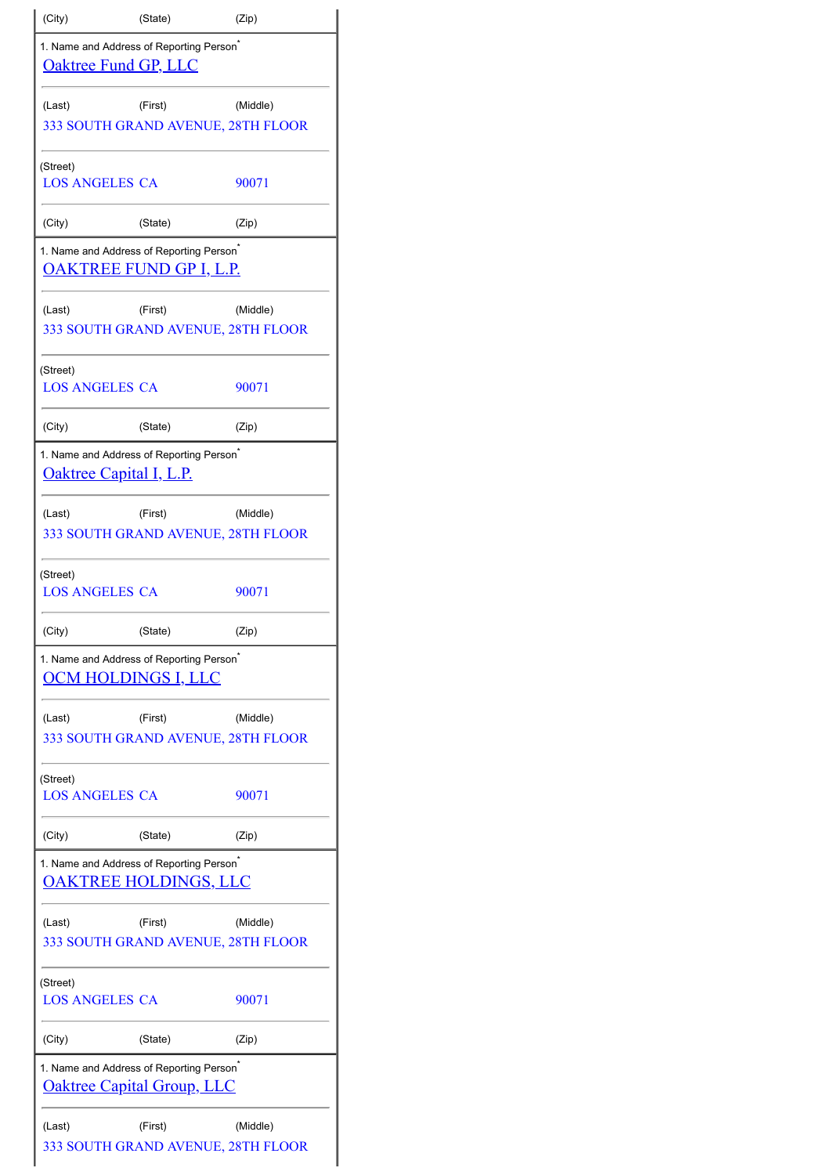| (City)                                                                                    | (State)                                                                              | (Zip)    |  |  |  |  |  |
|-------------------------------------------------------------------------------------------|--------------------------------------------------------------------------------------|----------|--|--|--|--|--|
| 1. Name and Address of Reporting Person <sup>*</sup><br><b>Oaktree Fund GP, LLC</b>       |                                                                                      |          |  |  |  |  |  |
| (Last)                                                                                    | (First)                                                                              | (Middle) |  |  |  |  |  |
|                                                                                           | 333 SOUTH GRAND AVENUE, 28TH FLOOR                                                   |          |  |  |  |  |  |
| (Street)<br><b>LOS ANGELES CA</b>                                                         |                                                                                      | 90071    |  |  |  |  |  |
| (City)                                                                                    | (State)                                                                              | (Zip)    |  |  |  |  |  |
| 1. Name and Address of Reporting Person <sup>*</sup><br><u>OAKTREE FUND GP I, L.P.</u>    |                                                                                      |          |  |  |  |  |  |
| (Last)                                                                                    | (First)<br>333 SOUTH GRAND AVENUE, 28TH FLOOR                                        | (Middle) |  |  |  |  |  |
| (Street)<br><b>LOS ANGELES CA</b>                                                         |                                                                                      | 90071    |  |  |  |  |  |
| (City)                                                                                    | (State)                                                                              | (Zip)    |  |  |  |  |  |
| 1. Name and Address of Reporting Person <sup>*</sup><br><b>Oaktree Capital I, L.P.</b>    |                                                                                      |          |  |  |  |  |  |
| (Last)                                                                                    | (First)                                                                              | (Middle) |  |  |  |  |  |
|                                                                                           | 333 SOUTH GRAND AVENUE, 28TH FLOOR                                                   |          |  |  |  |  |  |
| (Street)<br><b>LOS ANGELES CA</b>                                                         |                                                                                      | 90071    |  |  |  |  |  |
| (City)                                                                                    | (State)                                                                              | (Zip)    |  |  |  |  |  |
| 1. Name and Address of Reporting Person <sup>®</sup><br><u>OCM HOLDINGS I, LLC</u>        |                                                                                      |          |  |  |  |  |  |
| (Last)                                                                                    | (First)<br>333 SOUTH GRAND AVENUE, 28TH FLOOR                                        | (Middle) |  |  |  |  |  |
| (Street)                                                                                  |                                                                                      |          |  |  |  |  |  |
| <b>LOS ANGELES CA</b>                                                                     |                                                                                      | 90071    |  |  |  |  |  |
| (City)                                                                                    | (State)                                                                              | (Zip)    |  |  |  |  |  |
|                                                                                           | 1. Name and Address of Reporting Person <sup>*</sup><br><u>OAKTREE HOLDINGS, LLC</u> |          |  |  |  |  |  |
| (Last)                                                                                    | (First)<br>333 SOUTH GRAND AVENUE, 28TH FLOOR                                        | (Middle) |  |  |  |  |  |
| (Street)<br><b>LOS ANGELES CA</b>                                                         |                                                                                      | 90071    |  |  |  |  |  |
| (City)                                                                                    | (State)                                                                              | (Zip)    |  |  |  |  |  |
| 1. Name and Address of Reporting Person <sup>*</sup><br><b>Oaktree Capital Group, LLC</b> |                                                                                      |          |  |  |  |  |  |
| (Last)                                                                                    | (First)<br>333 SOUTH GRAND AVENUE, 28TH FLOOR                                        | (Middle) |  |  |  |  |  |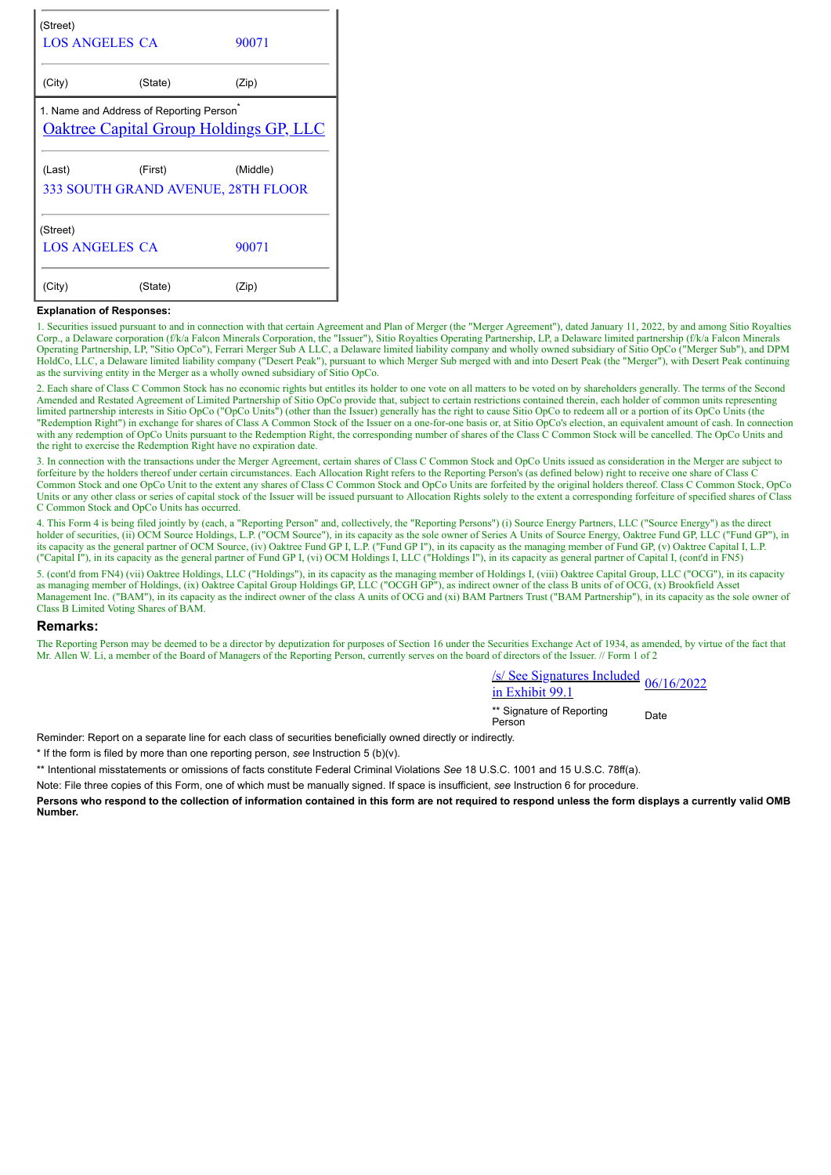| (Street)                                             |                                    |          |  |  |  |  |  |  |
|------------------------------------------------------|------------------------------------|----------|--|--|--|--|--|--|
| LOS ANGELES CA                                       |                                    | 90071    |  |  |  |  |  |  |
|                                                      |                                    |          |  |  |  |  |  |  |
| (City)                                               | (State)                            | (Zip)    |  |  |  |  |  |  |
| 1. Name and Address of Reporting Person <sup>®</sup> |                                    |          |  |  |  |  |  |  |
| <b>Oaktree Capital Group Holdings GP, LLC</b>        |                                    |          |  |  |  |  |  |  |
|                                                      |                                    |          |  |  |  |  |  |  |
| (Last)                                               | (First)                            | (Middle) |  |  |  |  |  |  |
|                                                      | 333 SOUTH GRAND AVENUE, 28TH FLOOR |          |  |  |  |  |  |  |
|                                                      |                                    |          |  |  |  |  |  |  |
| (Street)                                             |                                    |          |  |  |  |  |  |  |
| LOS ANGELES CA                                       |                                    | 90071    |  |  |  |  |  |  |
|                                                      |                                    |          |  |  |  |  |  |  |
| (City)                                               | (State)                            | (Zip)    |  |  |  |  |  |  |
|                                                      |                                    |          |  |  |  |  |  |  |

#### **Explanation of Responses:**

1. Securities issued pursuant to and in connection with that certain Agreement and Plan of Merger (the "Merger Agreement"), dated January 11, 2022, by and among Sitio Royalties Corp., a Delaware corporation (f/k/a Falcon Minerals Corporation, the "Issuer"), Sitio Royalties Operating Partnership, LP, a Delaware limited partnership (f/k/a Falcon Minerals Operating Partnership, LP, "Sitio OpCo"), Ferrari Merger Sub A LLC, a Delaware limited liability company and wholly owned subsidiary of Sitio OpCo ("Merger Sub"), and DPM HoldCo, LLC, a Delaware limited liability company ("Desert Peak"), pursuant to which Merger Sub merged with and into Desert Peak (the "Merger"), with Desert Peak continuing as the surviving entity in the Merger as a wholly owned subsidiary of Sitio OpCo.

2. Each share of Class C Common Stock has no economic rights but entitles its holder to one vote on all matters to be voted on by shareholders generally. The terms of the Second Amended and Restated Agreement of Limited Partnership of Sitio OpCo provide that, subject to certain restrictions contained therein, each holder of common units representing limited partnership interests in Sitio OpCo ("OpCo Units") (other than the Issuer) generally has the right to cause Sitio OpCo to redeem all or a portion of its OpCo Units (the "Redemption Right") in exchange for shares of Class A Common Stock of the Issuer on a one-for-one basis or, at Sitio OpCo's election, an equivalent amount of cash. In connection with any redemption of OpCo Units pursuant to the Redemption Right, the corresponding number of shares of the Class C Common Stock will be cancelled. The OpCo Units and the right to exercise the Redemption Right have no expiration date.

3. In connection with the transactions under the Merger Agreement, certain shares of Class C Common Stock and OpCo Units issued as consideration in the Merger are subject to forfeiture by the holders thereof under certain circumstances. Each Allocation Right refers to the Reporting Person's (as defined below) right to receive one share of Class C Common Stock and one OpCo Unit to the extent any shares of Class C Common Stock and OpCo Units are forfeited by the original holders thereof. Class C Common Stock, OpCo Units or any other class or series of capital stock of the Issuer will be issued pursuant to Allocation Rights solely to the extent a corresponding forfeiture of specified shares of Class C Common Stock and OpCo Units has occurred.

4. This Form 4 is being filed jointly by (each, a "Reporting Person" and, collectively, the "Reporting Persons") (i) Source Energy Partners, LLC ("Source Energy") as the direct holder of securities, (ii) OCM Source Holdings, L.P. ("OCM Source"), in its capacity as the sole owner of Series A Units of Source Energy, Oaktree Fund GP, LLC ("Fund GP"), in its capacity as the general partner of OCM Source, (iv) Oaktree Fund GP I, L.P. ("Fund GP I"), in its capacity as the managing member of Fund GP, (v) Oaktree Capital I, L.P. ("Capital I"), in its capacity as the general partner of Fund GP I, (vi) OCM Holdings I, LLC ("Holdings I"), in its capacity as general partner of Capital I, (cont'd in FN5)

5. (cont'd from FN4) (vii) Oaktree Holdings, LLC ("Holdings"), in its capacity as the managing member of Holdings I, (viii) Oaktree Capital Group, LLC ("OCG"), in its capacity as managing member of Holdings, (ix) Oaktree Capital Group Holdings GP, LLC ("OCGH GP"), as indirect owner of the class B units of of OCG, (x) Brookfield Asset Management Inc. ("BAM"), in its capacity as the indirect owner of the class A units of OCG and (xi) BAM Partners Trust ("BAM Partnership"), in its capacity as the sole owner of Class B Limited Voting Shares of BAM.

#### **Remarks:**

The Reporting Person may be deemed to be a director by deputization for purposes of Section 16 under the Securities Exchange Act of 1934, as amended, by virtue of the fact that Mr. Allen W. Li, a member of the Board of Managers of the Reporting Person, currently serves on the board of directors of the Issuer. // Form 1 of 2

> /s/ See Signatures Included  $\frac{1}{10}$  See Signatures included  $\frac{06}{16/2022}$

\*\* Signature of Reporting <sub>Date</sub><br>Person

Reminder: Report on a separate line for each class of securities beneficially owned directly or indirectly.

\* If the form is filed by more than one reporting person, *see* Instruction 5 (b)(v).

\*\* Intentional misstatements or omissions of facts constitute Federal Criminal Violations *See* 18 U.S.C. 1001 and 15 U.S.C. 78ff(a).

Note: File three copies of this Form, one of which must be manually signed. If space is insufficient, *see* Instruction 6 for procedure.

**Persons who respond to the collection of information contained in this form are not required to respond unless the form displays a currently valid OMB Number.**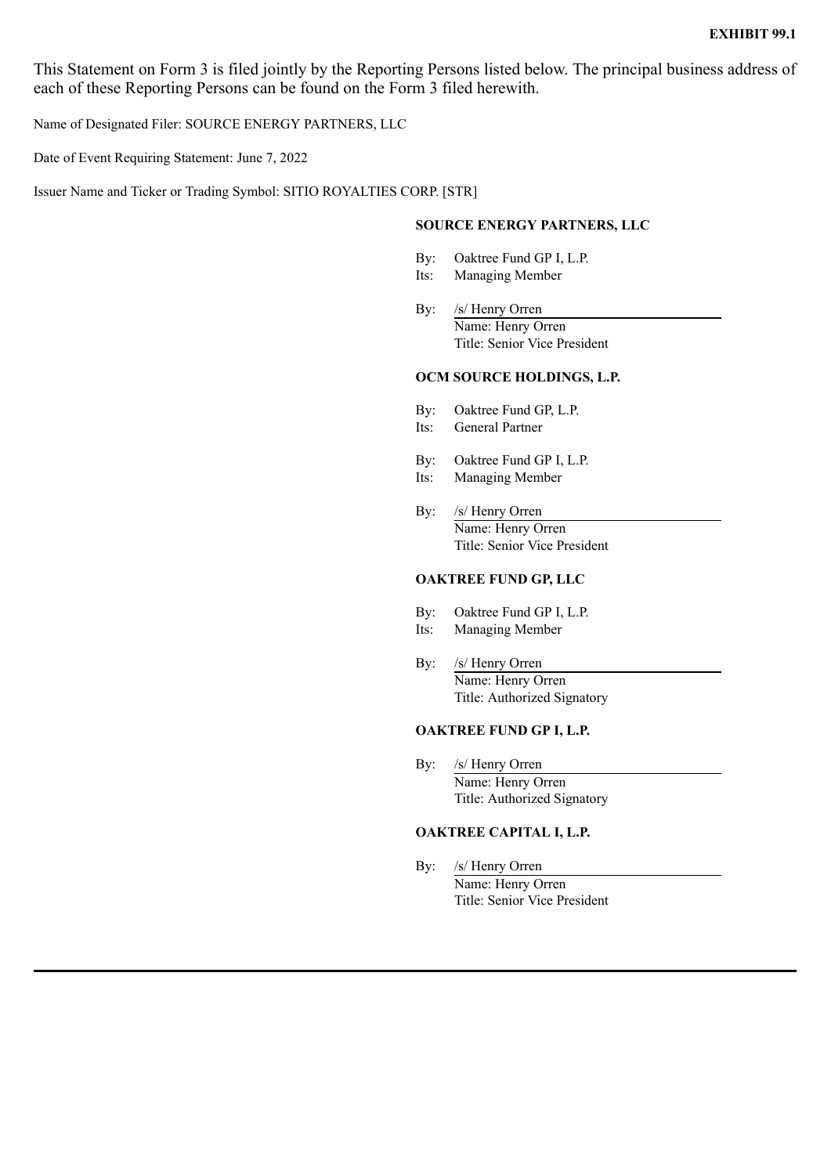This Statement on Form 3 is filed jointly by the Reporting Persons listed below. The principal business address of each of these Reporting Persons can be found on the Form 3 filed herewith.

Name of Designated Filer: SOURCE ENERGY PARTNERS, LLC

Date of Event Requiring Statement: June 7, 2022

Issuer Name and Ticker or Trading Symbol: SITIO ROYALTIES CORP. [STR]

#### **SOURCE ENERGY PARTNERS, LLC**

- By: Oaktree Fund GP I, L.P.
- Its: Managing Member
- By: /s/ Henry Orren Name: Henry Orren Title: Senior Vice President

## **OCM SOURCE HOLDINGS, L.P.**

- By: Oaktree Fund GP, L.P.
- Its: General Partner
- By: Oaktree Fund GP I, L.P.
- Its: Managing Member
- By: /s/ Henry Orren Name: Henry Orren Title: Senior Vice President

#### **OAKTREE FUND GP, LLC**

- By: Oaktree Fund GP I, L.P.
- Its: Managing Member
- By: /s/ Henry Orren Name: Henry Orren Title: Authorized Signatory

#### **OAKTREE FUND GP I, L.P.**

By: /s/ Henry Orren Name: Henry Orren Title: Authorized Signatory

# **OAKTREE CAPITAL I, L.P.**

By: /s/ Henry Orren Name: Henry Orren Title: Senior Vice President